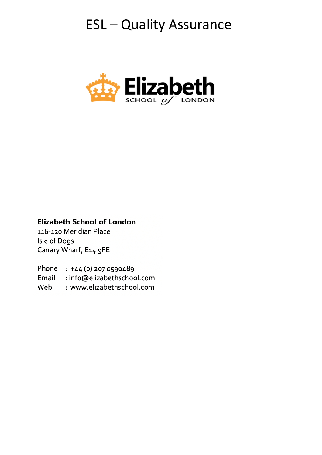# **ESL-Quality Assurance**



# **Elizabeth School of London**

116-120 Meridian Place Isle of Dogs Canary Wharf, E14 9FE

Phone : +44 (0) 207 0590489

Email : info@elizabethschool.com

Web : www.elizabethschool.com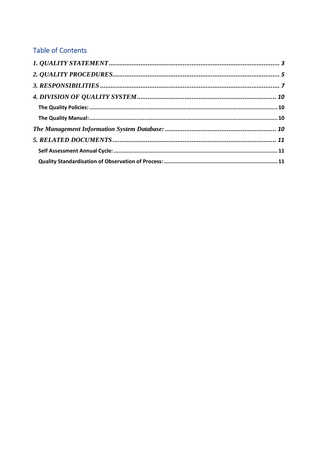# **Table of Contents**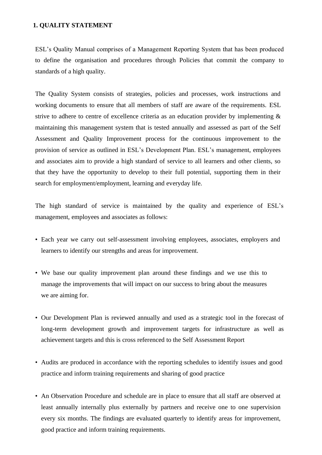#### <span id="page-2-0"></span>**1. QUALITY STATEMENT**

ESL's Quality Manual comprises of a Management Reporting System that has been produced to define the organisation and procedures through Policies that commit the company to standards of a high quality.

The Quality System consists of strategies, policies and processes, work instructions and working documents to ensure that all members of staff are aware of the requirements. ESL strive to adhere to centre of excellence criteria as an education provider by implementing  $\&$ maintaining this management system that is tested annually and assessed as part of the Self Assessment and Quality Improvement process for the continuous improvement to the provision of service as outlined in ESL's Development Plan. ESL's management, employees and associates aim to provide a high standard of service to all learners and other clients, so that they have the opportunity to develop to their full potential, supporting them in their search for employment/employment, learning and everyday life.

The high standard of service is maintained by the quality and experience of ESL's management, employees and associates as follows:

- Each year we carry out self-assessment involving employees, associates, employers and learners to identify our strengths and areas for improvement.
- We base our quality improvement plan around these findings and we use this to manage the improvements that will impact on our success to bring about the measures we are aiming for.
- Our Development Plan is reviewed annually and used as a strategic tool in the forecast of long-term development growth and improvement targets for infrastructure as well as achievement targets and this is cross referenced to the Self Assessment Report
- Audits are produced in accordance with the reporting schedules to identify issues and good practice and inform training requirements and sharing of good practice
- An Observation Procedure and schedule are in place to ensure that all staff are observed at least annually internally plus externally by partners and receive one to one supervision every six months. The findings are evaluated quarterly to identify areas for improvement, good practice and inform training requirements.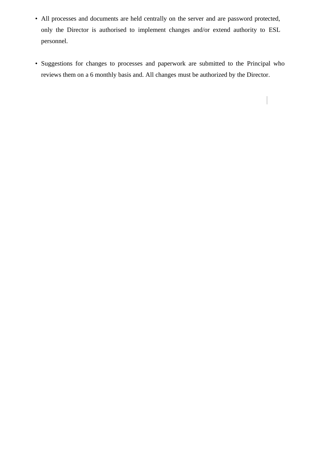- All processes and documents are held centrally on the server and are password protected, only the Director is authorised to implement changes and/or extend authority to ESL personnel.
- Suggestions for changes to processes and paperwork are submitted to the Principal who reviews them on a 6 monthly basis and. All changes must be authorized by the Director.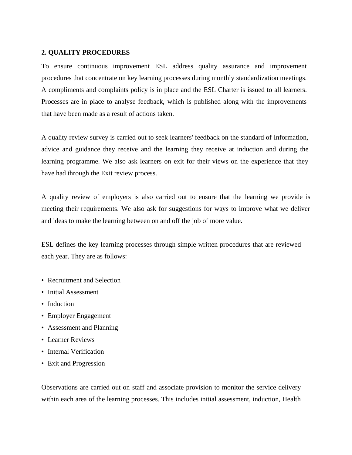## **2. QUALITY PROCEDURES**

<span id="page-4-0"></span>To ensure continuous improvement ESL address quality assurance and improvement procedures that concentrate on key learning processes during monthly standardization meetings. A compliments and complaints policy is in place and the ESL Charter is issued to all learners. Processes are in place to analyse feedback, which is published along with the improvements that have been made as a result of actions taken.

A quality review survey is carried out to seek learners' feedback on the standard of Information, advice and guidance they receive and the learning they receive at induction and during the learning programme. We also ask learners on exit for their views on the experience that they have had through the Exit review process.

A quality review of employers is also carried out to ensure that the learning we provide is meeting their requirements. We also ask for suggestions for ways to improve what we deliver and ideas to make the learning between on and off the job of more value.

ESL defines the key learning processes through simple written procedures that are reviewed each year. They are as follows:

- Recruitment and Selection
- Initial Assessment
- Induction
- Employer Engagement
- Assessment and Planning
- Learner Reviews
- Internal Verification
- Exit and Progression

Observations are carried out on staff and associate provision to monitor the service delivery within each area of the learning processes. This includes initial assessment, induction, Health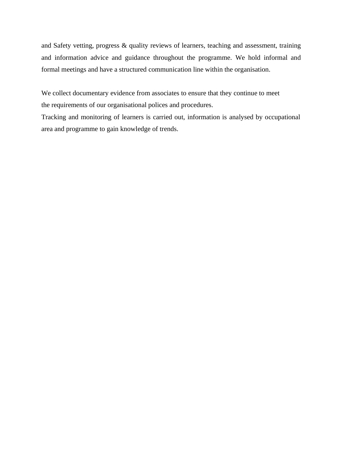and Safety vetting, progress & quality reviews of learners, teaching and assessment, training and information advice and guidance throughout the programme. We hold informal and formal meetings and have a structured communication line within the organisation.

We collect documentary evidence from associates to ensure that they continue to meet the requirements of our organisational polices and procedures.

Tracking and monitoring of learners is carried out, information is analysed by occupational area and programme to gain knowledge of trends.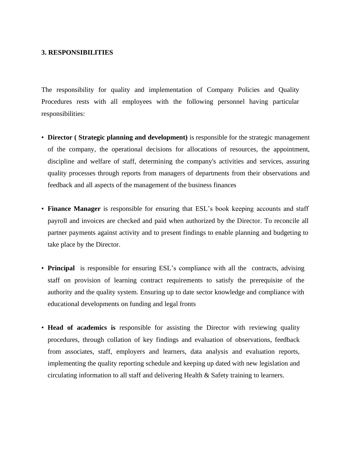#### **3. RESPONSIBILITIES**

<span id="page-6-0"></span>The responsibility for quality and implementation of Company Policies and Quality Procedures rests with all employees with the following personnel having particular responsibilities:

- **Director ( Strategic planning and development)** is responsible for the strategic management of the company, the operational decisions for allocations of resources, the appointment, discipline and welfare of staff, determining the company's activities and services, assuring quality processes through reports from managers of departments from their observations and feedback and all aspects of the management of the business finances
- **Finance Manager** is responsible for ensuring that ESL's book keeping accounts and staff payroll and invoices are checked and paid when authorized by the Director. To reconcile all partner payments against activity and to present findings to enable planning and budgeting to take place by the Director.
- **Principal** is responsible for ensuring ESL's compliance with all the contracts, advising staff on provision of learning contract requirements to satisfy the prerequisite of the authority and the quality system. Ensuring up to date sector knowledge and compliance with educational developments on funding and legal fronts
- **Head of academics is** responsible for assisting the Director with reviewing quality procedures, through collation of key findings and evaluation of observations, feedback from associates, staff, employers and learners, data analysis and evaluation reports, implementing the quality reporting schedule and keeping up dated with new legislation and circulating information to all staff and delivering Health & Safety training to learners.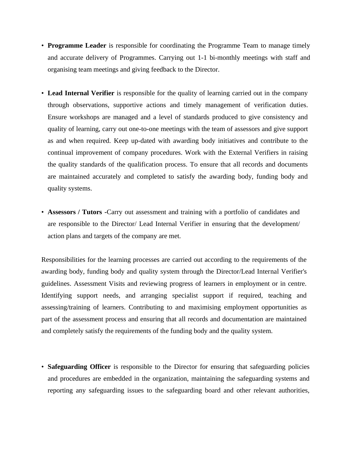- **Programme Leader** is responsible for coordinating the Programme Team to manage timely and accurate delivery of Programmes. Carrying out 1-1 bi-monthly meetings with staff and organising team meetings and giving feedback to the Director.
- **Lead Internal Verifier** is responsible for the quality of learning carried out in the company through observations, supportive actions and timely management of verification duties. Ensure workshops are managed and a level of standards produced to give consistency and quality of learning, carry out one-to-one meetings with the team of assessors and give support as and when required. Keep up-dated with awarding body initiatives and contribute to the continual improvement of company procedures. Work with the External Verifiers in raising the quality standards of the qualification process. To ensure that all records and documents are maintained accurately and completed to satisfy the awarding body, funding body and quality systems.
- **Assessors / Tutors -**Carry out assessment and training with a portfolio of candidates and are responsible to the Director/ Lead Internal Verifier in ensuring that the development/ action plans and targets of the company are met.

Responsibilities for the learning processes are carried out according to the requirements of the awarding body, funding body and quality system through the Director/Lead Internal Verifier's guidelines. Assessment Visits and reviewing progress of learners in employment or in centre. Identifying support needs, and arranging specialist support if required, teaching and assessing/training of learners. Contributing to and maximising employment opportunities as part of the assessment process and ensuring that all records and documentation are maintained and completely satisfy the requirements of the funding body and the quality system.

• **Safeguarding Officer** is responsible to the Director for ensuring that safeguarding policies and procedures are embedded in the organization, maintaining the safeguarding systems and reporting any safeguarding issues to the safeguarding board and other relevant authorities,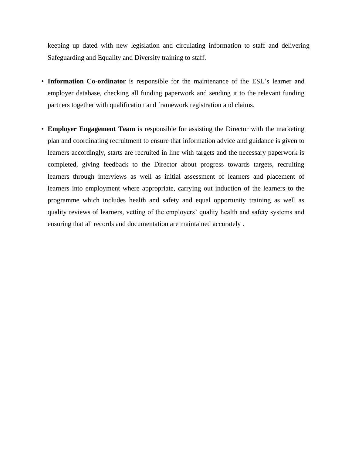keeping up dated with new legislation and circulating information to staff and delivering Safeguarding and Equality and Diversity training to staff.

- **Information Co-ordinator** is responsible for the maintenance of the ESL's learner and employer database, checking all funding paperwork and sending it to the relevant funding partners together with qualification and framework registration and claims.
- **Employer Engagement Team** is responsible for assisting the Director with the marketing plan and coordinating recruitment to ensure that information advice and guidance is given to learners accordingly, starts are recruited in line with targets and the necessary paperwork is completed, giving feedback to the Director about progress towards targets, recruiting learners through interviews as well as initial assessment of learners and placement of learners into employment where appropriate, carrying out induction of the learners to the programme which includes health and safety and equal opportunity training as well as quality reviews of learners, vetting of the employers' quality health and safety systems and ensuring that all records and documentation are maintained accurately .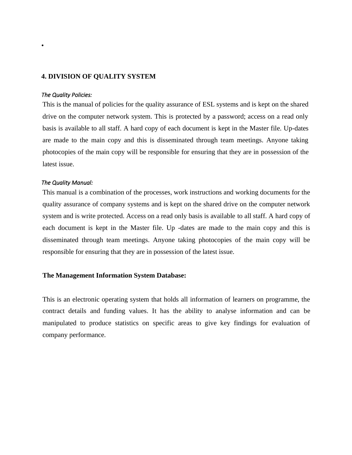## **4. DIVISION OF QUALITY SYSTEM**

#### <span id="page-9-0"></span>*The Quality Policies:*

•

<span id="page-9-1"></span>This is the manual of policies for the quality assurance of ESL systems and is kept on the shared drive on the computer network system. This is protected by a password; access on a read only basis is available to all staff. A hard copy of each document is kept in the Master file. Up-dates are made to the main copy and this is disseminated through team meetings. Anyone taking photocopies of the main copy will be responsible for ensuring that they are in possession of the latest issue.

#### *The Quality Manual:*

<span id="page-9-2"></span>This manual is a combination of the processes, work instructions and working documents for the quality assurance of company systems and is kept on the shared drive on the computer network system and is write protected. Access on a read only basis is available to all staff. A hard copy of each document is kept in the Master file. Up -dates are made to the main copy and this is disseminated through team meetings. Anyone taking photocopies of the main copy will be responsible for ensuring that they are in possession of the latest issue.

#### **The Management Information System Database:**

<span id="page-9-3"></span>This is an electronic operating system that holds all information of learners on programme, the contract details and funding values. It has the ability to analyse information and can be manipulated to produce statistics on specific areas to give key findings for evaluation of company performance.